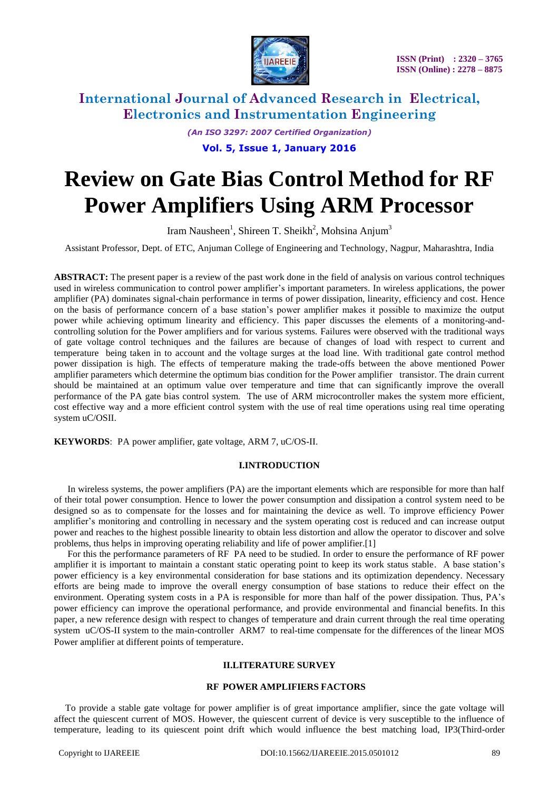

*(An ISO 3297: 2007 Certified Organization)* **Vol. 5, Issue 1, January 2016**

# **Review on Gate Bias Control Method for RF Power Amplifiers Using ARM Processor**

Iram Nausheen<sup>1</sup>, Shireen T. Sheikh<sup>2</sup>, Mohsina Anjum<sup>3</sup>

Assistant Professor, Dept. of ETC, Anjuman College of Engineering and Technology, Nagpur, Maharashtra, India

**ABSTRACT:** The present paper is a review of the past work done in the field of analysis on various control techniques used in wireless communication to control power amplifier's important parameters. In wireless applications, the power amplifier (PA) dominates signal-chain performance in terms of power dissipation, linearity, efficiency and cost. Hence on the basis of performance concern of a base station's power amplifier makes it possible to maximize the output power while achieving optimum linearity and efficiency. This paper discusses the elements of a monitoring-andcontrolling solution for the Power amplifiers and for various systems. Failures were observed with the traditional ways of gate voltage control techniques and the failures are because of changes of load with respect to current and temperature being taken in to account and the voltage surges at the load line. With traditional gate control method power dissipation is high. The effects of temperature making the trade-offs between the above mentioned Power amplifier parameters which determine the optimum bias condition for the Power amplifier transistor. The drain current should be maintained at an optimum value over temperature and time that can significantly improve the overall performance of the PA gate bias control system. The use of ARM microcontroller makes the system more efficient, cost effective way and a more efficient control system with the use of real time operations using real time operating system uC/OSII.

**KEYWORDS**: PA power amplifier, gate voltage, ARM 7, uC/OS-II.

#### **I.INTRODUCTION**

In wireless systems, the power amplifiers (PA) are the important elements which are responsible for more than half of their total power consumption. Hence to lower the power consumption and dissipation a control system need to be designed so as to compensate for the losses and for maintaining the device as well. To improve efficiency Power amplifier's monitoring and controlling in necessary and the system operating cost is reduced and can increase output power and reaches to the highest possible linearity to obtain less distortion and allow the operator to discover and solve problems, thus helps in improving operating reliability and life of power amplifier.[1]

For this the performance parameters of RF PA need to be studied. In order to ensure the performance of RF power amplifier it is important to maintain a constant static operating point to keep its work status stable. A base station's power efficiency is a key environmental consideration for base stations and its optimization dependency. Necessary efforts are being made to improve the overall energy consumption of base stations to reduce their effect on the environment. Operating system costs in a PA is responsible for more than half of the power dissipation. Thus, PA's power efficiency can improve the operational performance, and provide environmental and financial benefits.In this paper, a new reference design with respect to changes of temperature and drain current through the real time operating system uC/OS-II system to the main-controller ARM7 to real-time compensate for the differences of the linear MOS Power amplifier at different points of temperature.

#### **II.LITERATURE SURVEY**

#### **RF POWER AMPLIFIERS FACTORS**

 To provide a stable gate voltage for power amplifier is of great importance amplifier, since the gate voltage will affect the quiescent current of MOS. However, the quiescent current of device is very susceptible to the influence of temperature, leading to its quiescent point drift which would influence the best matching load, IP3(Third-order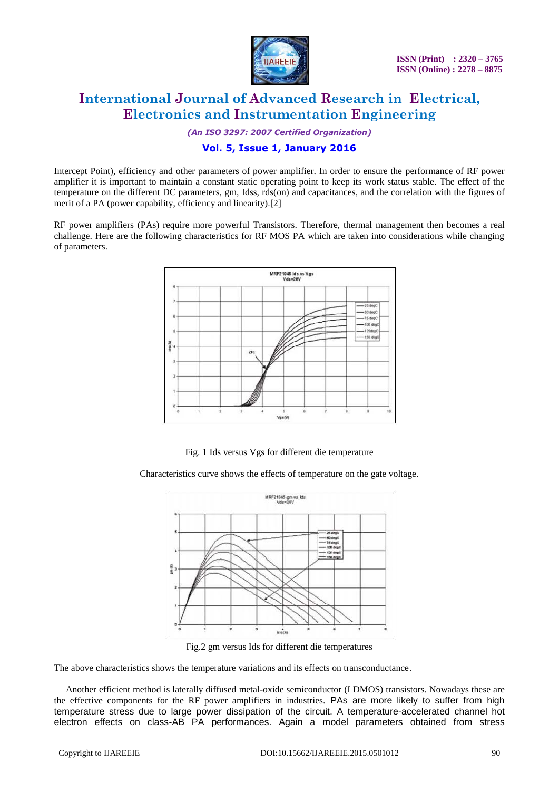

*(An ISO 3297: 2007 Certified Organization)*

## **Vol. 5, Issue 1, January 2016**

Intercept Point), efficiency and other parameters of power amplifier. In order to ensure the performance of RF power amplifier it is important to maintain a constant static operating point to keep its work status stable. The effect of the temperature on the different DC parameters, gm, Idss, rds(on) and capacitances, and the correlation with the figures of merit of a PA (power capability, efficiency and linearity).[2]

RF power amplifiers (PAs) require more powerful Transistors. Therefore, thermal management then becomes a real challenge. Here are the following characteristics for RF MOS PA which are taken into considerations while changing of parameters.



Fig. 1 Ids versus Vgs for different die temperature

Characteristics curve shows the effects of temperature on the gate voltage.



Fig.2 gm versus Ids for different die temperatures

The above characteristics shows the temperature variations and its effects on transconductance.

 Another efficient method is laterally diffused metal-oxide semiconductor (LDMOS) transistors. Nowadays these are the effective components for the RF power amplifiers in industries. PAs are more likely to suffer from high temperature stress due to large power dissipation of the circuit. A temperature-accelerated channel hot electron effects on class-AB PA performances. Again a model parameters obtained from stress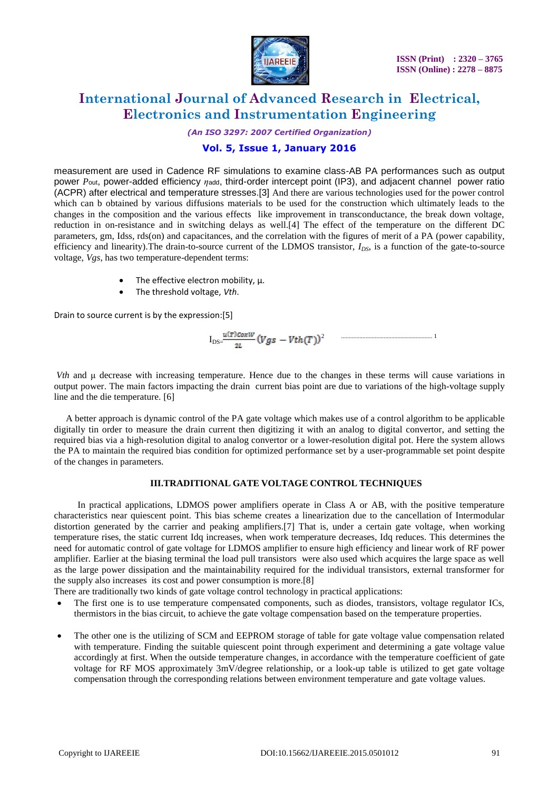

*(An ISO 3297: 2007 Certified Organization)*

## **Vol. 5, Issue 1, January 2016**

measurement are used in Cadence RF simulations to examine class-AB PA performances such as output power *P*out, power-added efficiency *η*add, third-order intercept point (IP3), and adjacent channel power ratio (ACPR) after electrical and temperature stresses.[3] And there are various technologies used for the power control which can b obtained by various diffusions materials to be used for the construction which ultimately leads to the changes in the composition and the various effects like improvement in transconductance, the break down voltage, reduction in on-resistance and in switching delays as well.[4] The effect of the temperature on the different DC parameters, gm, Idss, rds(on) and capacitances, and the correlation with the figures of merit of a PA (power capability, efficiency and linearity).The drain-to-source current of the LDMOS transistor, *IDS*, is a function of the gate-to-source voltage, *Vgs*, has two temperature-dependent terms:

- $\bullet$  The effective electron mobility,  $\mu$ .
- The threshold voltage, *Vth*.

Drain to source current is by the expression:[5]

$$
I_{DS} = \frac{u(\tau) \cos w}{2L} (Vgs - Vth(T))^2
$$

*Vth* and μ decrease with increasing temperature. Hence due to the changes in these terms will cause variations in output power. The main factors impacting the drain current bias point are due to variations of the high-voltage supply line and the die temperature. [6]

 A better approach is dynamic control of the PA gate voltage which makes use of a control algorithm to be applicable digitally tin order to measure the drain current then digitizing it with an analog to digital convertor, and setting the required bias via a high-resolution digital to analog convertor or a lower-resolution digital pot. Here the system allows the PA to maintain the required bias condition for optimized performance set by a user-programmable set point despite of the changes in parameters.

## **III.TRADITIONAL GATE VOLTAGE CONTROL TECHNIQUES**

 In practical applications, LDMOS power amplifiers operate in Class A or AB, with the positive temperature characteristics near quiescent point. This bias scheme creates a linearization due to the cancellation of Intermodular distortion generated by the carrier and peaking amplifiers.[7] That is, under a certain gate voltage, when working temperature rises, the static current Idq increases, when work temperature decreases, Idq reduces. This determines the need for automatic control of gate voltage for LDMOS amplifier to ensure high efficiency and linear work of RF power amplifier. Earlier at the biasing terminal the load pull transistors were also used which acquires the large space as well as the large power dissipation and the maintainability required for the individual transistors, external transformer for the supply also increases its cost and power consumption is more.[8]

There are traditionally two kinds of gate voltage control technology in practical applications:

- The first one is to use temperature compensated components, such as diodes, transistors, voltage regulator ICs, thermistors in the bias circuit, to achieve the gate voltage compensation based on the temperature properties.
- The other one is the utilizing of SCM and EEPROM storage of table for gate voltage value compensation related with temperature. Finding the suitable quiescent point through experiment and determining a gate voltage value accordingly at first. When the outside temperature changes, in accordance with the temperature coefficient of gate voltage for RF MOS approximately 3mV/degree relationship, or a look-up table is utilized to get gate voltage compensation through the corresponding relations between environment temperature and gate voltage values.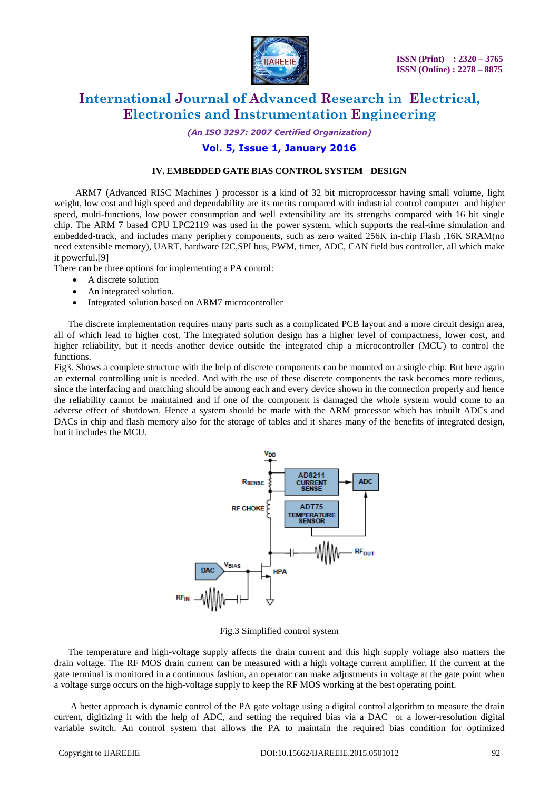

*(An ISO 3297: 2007 Certified Organization)*

## **Vol. 5, Issue 1, January 2016**

### **IV. EMBEDDED GATE BIAS CONTROL SYSTEM DESIGN**

 ARM7 (Advanced RISC Machines ) processor is a kind of 32 bit microprocessor having small volume, light weight, low cost and high speed and dependability are its merits compared with industrial control computer and higher speed, multi-functions, low power consumption and well extensibility are its strengths compared with 16 bit single chip. The ARM 7 based CPU LPC2119 was used in the power system, which supports the real-time simulation and embedded-track, and includes many periphery components, such as zero waited 256K in-chip Flash ,16K SRAM(no need extensible memory), UART, hardware I2C,SPI bus, PWM, timer, ADC, CAN field bus controller, all which make it powerful.[9]

There can be three options for implementing a PA control:

- A discrete solution
- An integrated solution.
- Integrated solution based on ARM7 microcontroller

 The discrete implementation requires many parts such as a complicated PCB layout and a more circuit design area, all of which lead to higher cost. The integrated solution design has a higher level of compactness, lower cost, and higher reliability, but it needs another device outside the integrated chip a microcontroller (MCU) to control the functions.

Fig3. Shows a complete structure with the help of discrete components can be mounted on a single chip. But here again an external controlling unit is needed. And with the use of these discrete components the task becomes more tedious, since the interfacing and matching should be among each and every device shown in the connection properly and hence the reliability cannot be maintained and if one of the component is damaged the whole system would come to an adverse effect of shutdown. Hence a system should be made with the ARM processor which has inbuilt ADCs and DACs in chip and flash memory also for the storage of tables and it shares many of the benefits of integrated design, but it includes the MCU.



Fig.3 Simplified control system

 The temperature and high-voltage supply affects the drain current and this high supply voltage also matters the drain voltage. The RF MOS drain current can be measured with a high voltage current amplifier. If the current at the gate terminal is monitored in a continuous fashion, an operator can make adjustments in voltage at the gate point when a voltage surge occurs on the high-voltage supply to keep the RF MOS working at the best operating point.

 A better approach is dynamic control of the PA gate voltage using a digital control algorithm to measure the drain current, digitizing it with the help of ADC, and setting the required bias via a DAC or a lower-resolution digital variable switch. An control system that allows the PA to maintain the required bias condition for optimized